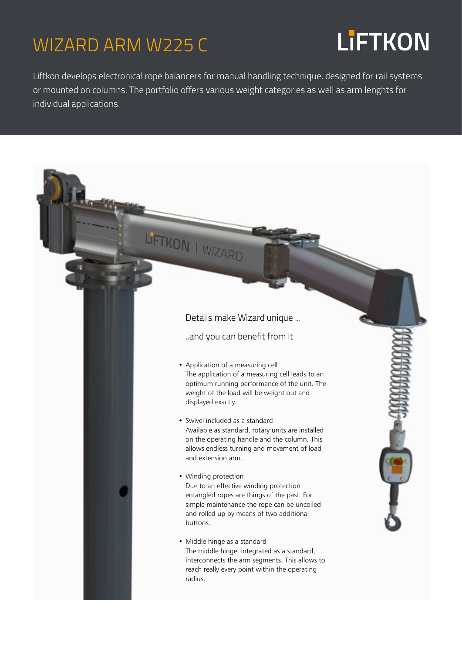### WIZARD ARM W225 C

## **LiFTKON**

Liftkon develops electronical rope balancers for manual handling technique, designed for rail systems or mounted on columns. The portfolio offers various weight categories as well as arm lenghts for individual applications.

LIFTKON | WIZARD

#### • Application of a measuring cell The application of a measuring cell leads to an optimum running performance of the unit. The weight of the load will be weight out and displayed exactly. • Swivel included as a standard Available as standard, rotary units are installed on the operating handle and the column. This allows endless turning and movement of load and extension arm. • Winding protection Due to an effective winding protection entangled ropes are things of the past. For simple maintenance the rope can be uncoiled and rolled up by means of two additional buttons. • Middle hinge as a standard Details make Wizard unique ... ..and you can benefit from it

The middle hinge, integrated as a standard, interconnects the arm segments. This allows to reach really every point within the operating radius.